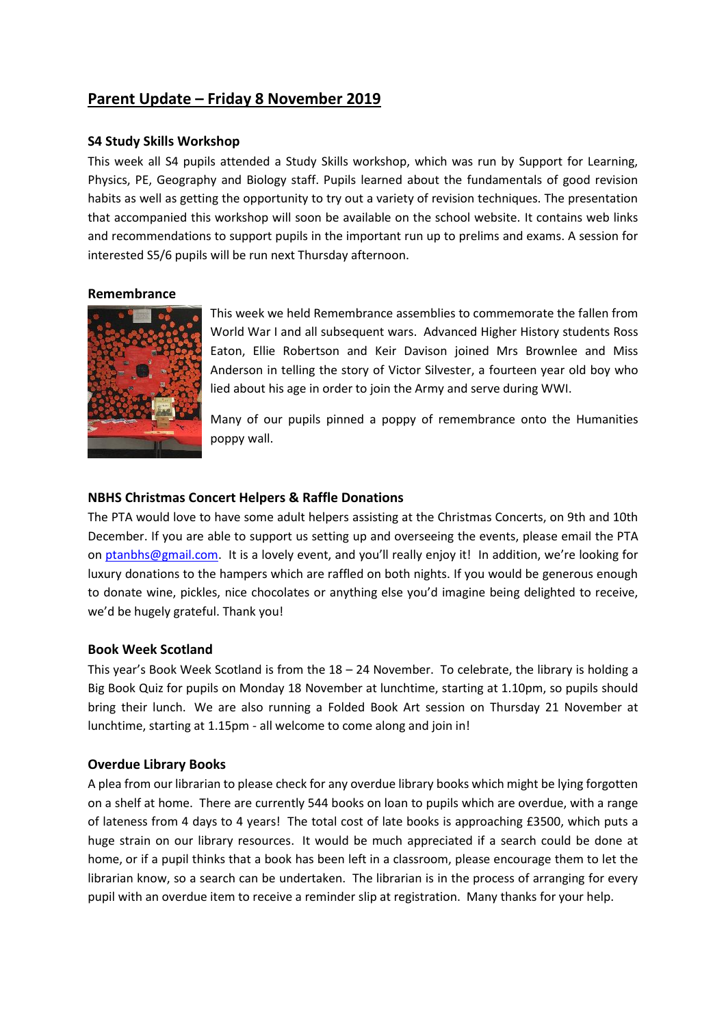# **Parent Update – Friday 8 November 2019**

### **S4 Study Skills Workshop**

This week all S4 pupils attended a Study Skills workshop, which was run by Support for Learning, Physics, PE, Geography and Biology staff. Pupils learned about the fundamentals of good revision habits as well as getting the opportunity to try out a variety of revision techniques. The presentation that accompanied this workshop will soon be available on the school website. It contains web links and recommendations to support pupils in the important run up to prelims and exams. A session for interested S5/6 pupils will be run next Thursday afternoon.

#### **Remembrance**



This week we held Remembrance assemblies to commemorate the fallen from World War I and all subsequent wars. Advanced Higher History students Ross Eaton, Ellie Robertson and Keir Davison joined Mrs Brownlee and Miss Anderson in telling the story of Victor Silvester, a fourteen year old boy who lied about his age in order to join the Army and serve during WWI.

Many of our pupils pinned a poppy of remembrance onto the Humanities poppy wall.

#### **NBHS Christmas Concert Helpers & Raffle Donations**

The PTA would love to have some adult helpers assisting at the Christmas Concerts, on 9th and 10th December. If you are able to support us setting up and overseeing the events, please email the PTA on [ptanbhs@gmail.com.](mailto:ptanbhs@gmail.com) It is a lovely event, and you'll really enjoy it! In addition, we're looking for luxury donations to the hampers which are raffled on both nights. If you would be generous enough to donate wine, pickles, nice chocolates or anything else you'd imagine being delighted to receive, we'd be hugely grateful. Thank you!

#### **Book Week Scotland**

This year's Book Week Scotland is from the 18 – 24 November. To celebrate, the library is holding a Big Book Quiz for pupils on Monday 18 November at lunchtime, starting at 1.10pm, so pupils should bring their lunch. We are also running a Folded Book Art session on Thursday 21 November at lunchtime, starting at 1.15pm - all welcome to come along and join in!

# **Overdue Library Books**

A plea from our librarian to please check for any overdue library books which might be lying forgotten on a shelf at home. There are currently 544 books on loan to pupils which are overdue, with a range of lateness from 4 days to 4 years! The total cost of late books is approaching £3500, which puts a huge strain on our library resources. It would be much appreciated if a search could be done at home, or if a pupil thinks that a book has been left in a classroom, please encourage them to let the librarian know, so a search can be undertaken. The librarian is in the process of arranging for every pupil with an overdue item to receive a reminder slip at registration. Many thanks for your help.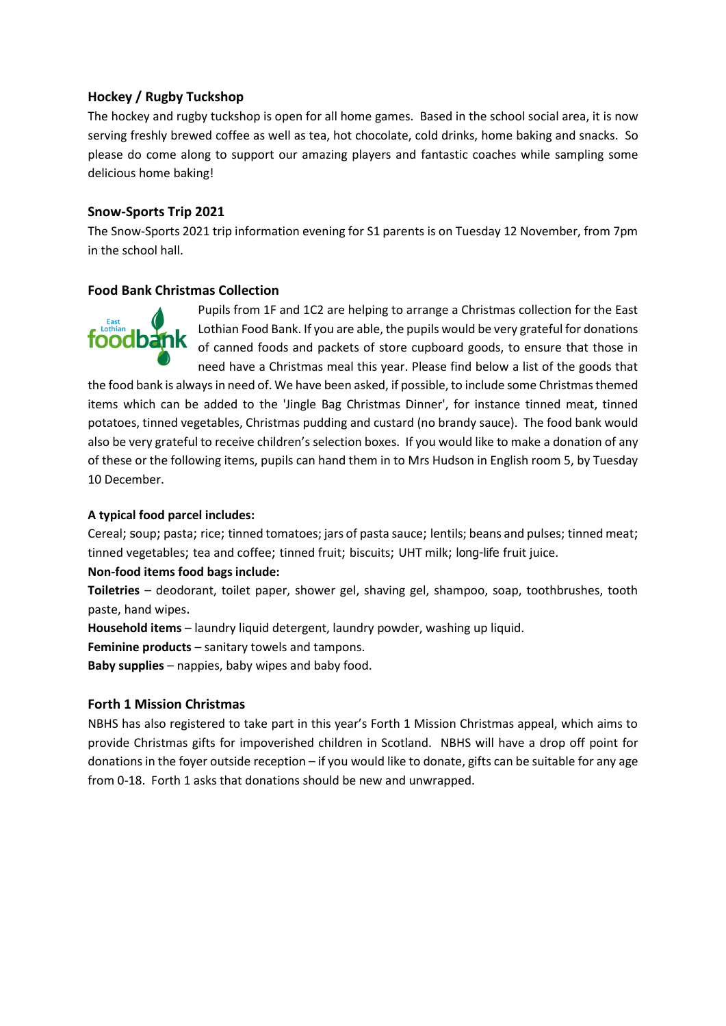# **Hockey / Rugby Tuckshop**

The hockey and rugby tuckshop is open for all home games. Based in the school social area, it is now serving freshly brewed coffee as well as tea, hot chocolate, cold drinks, home baking and snacks. So please do come along to support our amazing players and fantastic coaches while sampling some delicious home baking!

# **Snow-Sports Trip 2021**

The Snow-Sports 2021 trip information evening for S1 parents is on Tuesday 12 November, from 7pm in the school hall.

# **Food Bank Christmas Collection**



Pupils from 1F and 1C2 are helping to arrange a Christmas collection for the East Lothian Food Bank. If you are able, the pupils would be very grateful for donations of canned foods and packets of store cupboard goods, to ensure that those in need have a Christmas meal this year. Please find below a list of the goods that

the food bank is always in need of. We have been asked, if possible, to include some Christmas themed items which can be added to the 'Jingle Bag Christmas Dinner', for instance tinned meat, tinned potatoes, tinned vegetables, Christmas pudding and custard (no brandy sauce). The food bank would also be very grateful to receive children's selection boxes. If you would like to make a donation of any of these or the following items, pupils can hand them in to Mrs Hudson in English room 5, by Tuesday 10 December.

### **A typical food parcel includes:**

Cereal; soup; pasta; rice; tinned tomatoes; jars of pasta sauce; lentils; beans and pulses; tinned meat; tinned vegetables; tea and coffee; tinned fruit; biscuits; UHT milk; long-life fruit juice.

# **Non-food items food bags include:**

**Toiletries** – deodorant, toilet paper, shower gel, shaving gel, shampoo, soap, toothbrushes, tooth paste, hand wipes.

**Household items** – laundry liquid detergent, laundry powder, washing up liquid.

**Feminine products** – sanitary towels and tampons.

**Baby supplies** – nappies, baby wipes and baby food.

# **Forth 1 Mission Christmas**

NBHS has also registered to take part in this year's Forth 1 Mission Christmas appeal, which aims to provide Christmas gifts for impoverished children in Scotland. NBHS will have a drop off point for donations in the foyer outside reception – if you would like to donate, gifts can be suitable for any age from 0-18. Forth 1 asks that donations should be new and unwrapped.